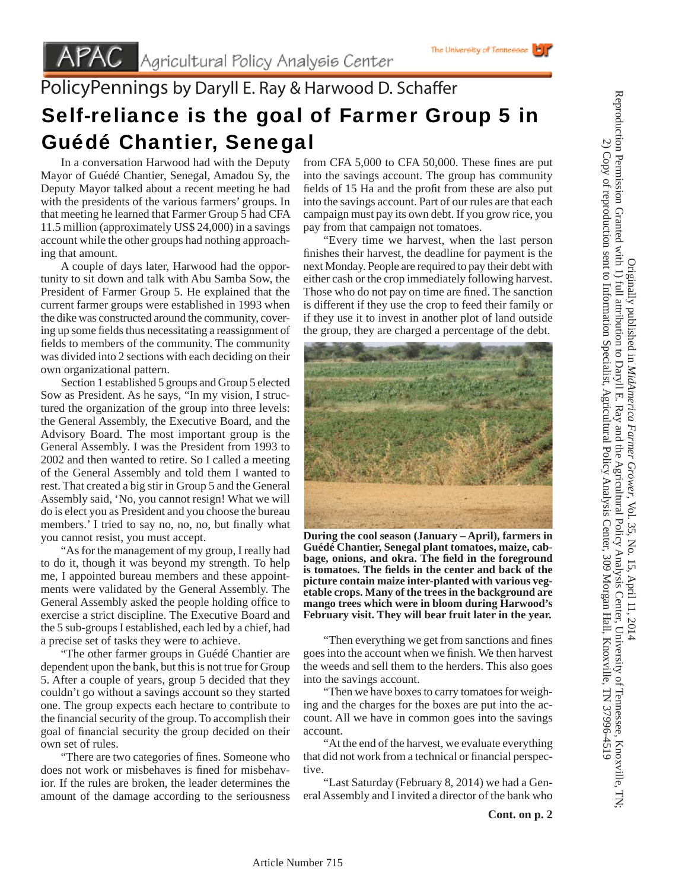## PolicyPennings by Daryll E. Ray & Harwood D. Schaffer Self-reliance is the goal of Farmer Group 5 in Guédé Chantier, Senegal

 In a conversation Harwood had with the Deputy Mayor of Guédé Chantier, Senegal, Amadou Sy, the Deputy Mayor talked about a recent meeting he had with the presidents of the various farmers' groups. In that meeting he learned that Farmer Group 5 had CFA 11.5 million (approximately US\$ 24,000) in a savings account while the other groups had nothing approaching that amount.

 A couple of days later, Harwood had the opportunity to sit down and talk with Abu Samba Sow, the President of Farmer Group 5. He explained that the current farmer groups were established in 1993 when the dike was constructed around the community, covering up some fields thus necessitating a reassignment of fields to members of the community. The community was divided into 2 sections with each deciding on their own organizational pattern.

 Section 1 established 5 groups and Group 5 elected Sow as President. As he says, "In my vision, I structured the organization of the group into three levels: the General Assembly, the Executive Board, and the Advisory Board. The most important group is the General Assembly. I was the President from 1993 to 2002 and then wanted to retire. So I called a meeting of the General Assembly and told them I wanted to rest. That created a big stir in Group 5 and the General Assembly said, 'No, you cannot resign! What we will do is elect you as President and you choose the bureau members.' I tried to say no, no, no, but finally what you cannot resist, you must accept.

 "As for the management of my group, I really had to do it, though it was beyond my strength. To help me, I appointed bureau members and these appointments were validated by the General Assembly. The General Assembly asked the people holding office to exercise a strict discipline. The Executive Board and the 5 sub-groups I established, each led by a chief, had a precise set of tasks they were to achieve.

 "The other farmer groups in Guédé Chantier are dependent upon the bank, but this is not true for Group 5. After a couple of years, group 5 decided that they couldn't go without a savings account so they started one. The group expects each hectare to contribute to the financial security of the group. To accomplish their goal of financial security the group decided on their own set of rules.

"There are two categories of fines. Someone who does not work or misbehaves is fined for misbehavior. If the rules are broken, the leader determines the amount of the damage according to the seriousness

from CFA  $5,000$  to CFA  $50,000$ . These fines are put into the savings account. The group has community fields of 15 Ha and the profit from these are also put into the savings account. Part of our rules are that each campaign must pay its own debt. If you grow rice, you pay from that campaign not tomatoes.

 "Every time we harvest, when the last person finishes their harvest, the deadline for payment is the next Monday. People are required to pay their debt with either cash or the crop immediately following harvest. Those who do not pay on time are fined. The sanction is different if they use the crop to feed their family or if they use it to invest in another plot of land outside the group, they are charged a percentage of the debt.



**During the cool season (January – April), farmers in Guédé Chantier, Senegal plant tomatoes, maize, cab**bage, onions, and okra. The field in the foreground **is tomatoes. The fields in the center and back of the picture contain maize inter-planted with various vegetable crops. Many of the trees in the background are mango trees which were in bloom during Harwood's February visit. They will bear fruit later in the year.** 

"Then everything we get from sanctions and fines" goes into the account when we finish. We then harvest the weeds and sell them to the herders. This also goes into the savings account.

 "Then we have boxes to carry tomatoes for weighing and the charges for the boxes are put into the account. All we have in common goes into the savings account.

 "At the end of the harvest, we evaluate everything that did not work from a technical or financial perspective.

 "Last Saturday (February 8, 2014) we had a General Assembly and I invited a director of the bank who